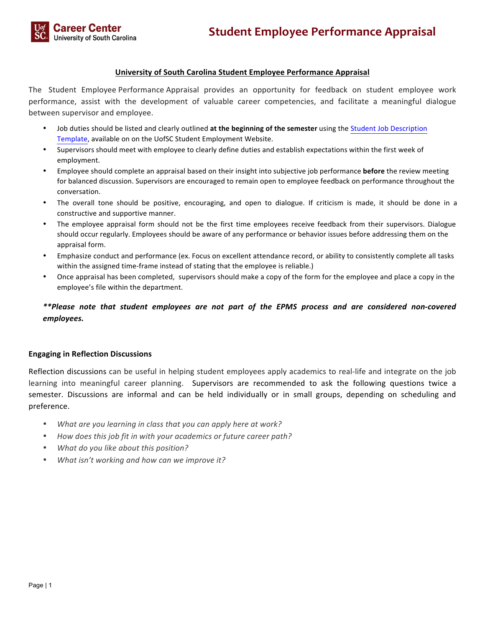## **University of South Carolina Student Employee Performance Appraisal**

The Student Employee Performance Appraisal provides an opportunity for feedback on student employee work performance, assist with the development of valuable career competencies, and facilitate a meaningful dialogue between supervisor and employee.

- Job duties should be listed and clearly outlined at the beginning of the semester using the Student Job Description Template, available on on the UofSC Student Employment Website.
- Supervisors should meet with employee to clearly define duties and establish expectations within the first week of employment.
- Employee should complete an appraisal based on their insight into subjective job performance **before** the review meeting for balanced discussion. Supervisors are encouraged to remain open to employee feedback on performance throughout the conversation.
- The overall tone should be positive, encouraging, and open to dialogue. If criticism is made, it should be done in a constructive and supportive manner.
- The employee appraisal form should not be the first time employees receive feedback from their supervisors. Dialogue should occur regularly. Employees should be aware of any performance or behavior issues before addressing them on the appraisal form.
- Emphasize conduct and performance (ex. Focus on excellent attendance record, or ability to consistently complete all tasks within the assigned time-frame instead of stating that the employee is reliable.)
- Once appraisal has been completed, supervisors should make a copy of the form for the employee and place a copy in the employee's file within the department.

# *\*\*Please note that student employees are not part of the EPMS process and are considered non-covered employees.*

### **Engaging in Reflection Discussions**

Reflection discussions can be useful in helping student employees apply academics to real-life and integrate on the job learning into meaningful career planning. Supervisors are recommended to ask the following questions twice a semester. Discussions are informal and can be held individually or in small groups, depending on scheduling and preference.

- What are you learning in class that you can apply here at work?
- How does this job fit in with your academics or future career path?
- What do you like about this position?
- What isn't working and how can we improve it?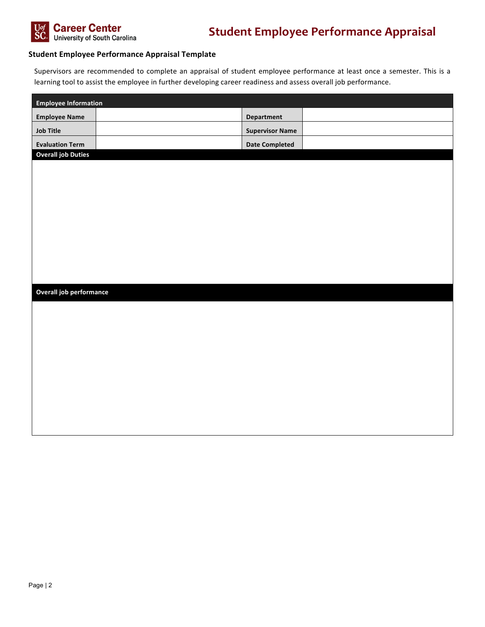

### **Student Employee Performance Appraisal Template**

Supervisors are recommended to complete an appraisal of student employee performance at least once a semester. This is a learning tool to assist the employee in further developing career readiness and assess overall job performance.

| <b>Employee Information</b> |  |                        |  |  |
|-----------------------------|--|------------------------|--|--|
| <b>Employee Name</b>        |  | <b>Department</b>      |  |  |
| <b>Job Title</b>            |  | <b>Supervisor Name</b> |  |  |
| <b>Evaluation Term</b>      |  | <b>Date Completed</b>  |  |  |
| <b>Overall job Duties</b>   |  |                        |  |  |
|                             |  |                        |  |  |
|                             |  |                        |  |  |
|                             |  |                        |  |  |
|                             |  |                        |  |  |
|                             |  |                        |  |  |
|                             |  |                        |  |  |
|                             |  |                        |  |  |
|                             |  |                        |  |  |
|                             |  |                        |  |  |
| Overall job performance     |  |                        |  |  |
|                             |  |                        |  |  |
|                             |  |                        |  |  |
|                             |  |                        |  |  |
|                             |  |                        |  |  |
|                             |  |                        |  |  |
|                             |  |                        |  |  |
|                             |  |                        |  |  |
|                             |  |                        |  |  |
|                             |  |                        |  |  |
|                             |  |                        |  |  |
|                             |  |                        |  |  |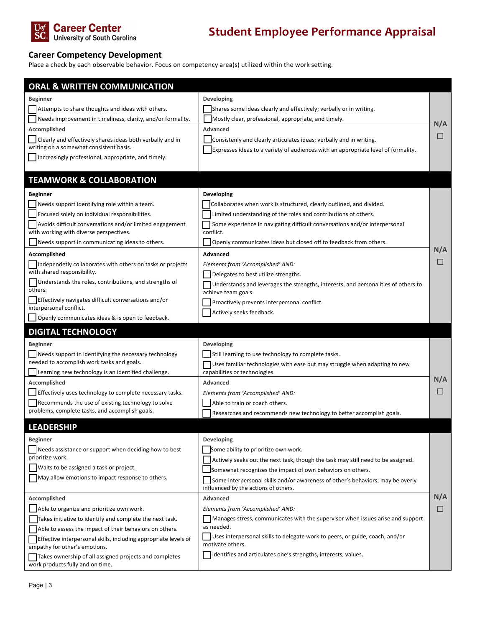

# **Career Competency Development**

Place a check by each observable behavior. Focus on competency area(s) utilized within the work setting.

| <b>ORAL &amp; WRITTEN COMMUNICATION</b>                                                               |                                                                                                                        |        |
|-------------------------------------------------------------------------------------------------------|------------------------------------------------------------------------------------------------------------------------|--------|
| <b>Beginner</b>                                                                                       | Developing                                                                                                             |        |
| Attempts to share thoughts and ideas with others.                                                     | Shares some ideas clearly and effectively; verbally or in writing.                                                     |        |
| Needs improvement in timeliness, clarity, and/or formality.                                           | Mostly clear, professional, appropriate, and timely.                                                                   |        |
| Accomplished                                                                                          | Advanced                                                                                                               | N/A    |
| Clearly and effectively shares ideas both verbally and in                                             | Consistenly and clearly articulates ideas; verbally and in writing.                                                    | $\Box$ |
| writing on a somewhat consistent basis.                                                               | Expresses ideas to a variety of audiences with an appropriate level of formality.                                      |        |
| Increasingly professional, appropriate, and timely.                                                   |                                                                                                                        |        |
|                                                                                                       |                                                                                                                        |        |
| <b>TEAMWORK &amp; COLLABORATION</b>                                                                   |                                                                                                                        |        |
| <b>Beginner</b>                                                                                       | Developing                                                                                                             |        |
| Needs support identifying role within a team.                                                         | Collaborates when work is structured, clearly outlined, and divided.                                                   |        |
| Focused solely on individual responsibilities.                                                        | Limited understanding of the roles and contributions of others.                                                        |        |
| Avoids difficult conversations and/or limited engagement                                              | Some experience in navigating difficult conversations and/or interpersonal                                             |        |
| with working with diverse perspectives.                                                               | conflict.                                                                                                              |        |
| Needs support in communicating ideas to others.                                                       | Openly communicates ideas but closed off to feedback from others.                                                      | N/A    |
| Accomplished                                                                                          | Advanced                                                                                                               | $\Box$ |
| Independetly collaborates with others on tasks or projects<br>with shared responsibility.             | Elements from 'Accomplished' AND:                                                                                      |        |
| Understands the roles, contributions, and strengths of                                                | Delegates to best utilize strengths.                                                                                   |        |
| others.                                                                                               | Understands and leverages the strengths, interests, and personalities of others to<br>achieve team goals.              |        |
| Effectively navigates difficult conversations and/or                                                  | Proactively prevents interpersonal conflict.                                                                           |        |
| interpersonal conflict.                                                                               | Actively seeks feedback.                                                                                               |        |
| Openly communicates ideas & is open to feedback.                                                      |                                                                                                                        |        |
| <b>DIGITAL TECHNOLOGY</b>                                                                             |                                                                                                                        |        |
| <b>Beginner</b>                                                                                       | Developing                                                                                                             |        |
| Needs support in identifying the necessary technology                                                 | Still learning to use technology to complete tasks.                                                                    |        |
| needed to accomplish work tasks and goals.                                                            | Uses familiar technologies with ease but may struggle when adapting to new                                             |        |
| Learning new technology is an identified challenge.                                                   | capabilities or technologies.                                                                                          | N/A    |
| Accomplished                                                                                          | Advanced                                                                                                               |        |
| Effectively uses technology to complete necessary tasks.                                              | Elements from 'Accomplished' AND:                                                                                      |        |
| Recommends the use of existing technology to solve<br>problems, complete tasks, and accomplish goals. | Able to train or coach others.                                                                                         |        |
|                                                                                                       | Researches and recommends new technology to better accomplish goals.                                                   |        |
| <b>LEADERSHIP</b>                                                                                     |                                                                                                                        |        |
| <b>Beginner</b>                                                                                       | Developing                                                                                                             |        |
| Needs assistance or support when deciding how to best                                                 | Some ability to prioritize own work.                                                                                   |        |
| prioritize work.                                                                                      | Actively seeks out the next task, though the task may still need to be assigned.                                       |        |
| Waits to be assigned a task or project.                                                               | Somewhat recognizes the impact of own behaviors on others.                                                             |        |
| May allow emotions to impact response to others.                                                      | Some interpersonal skills and/or awareness of other's behaviors; may be overly<br>influenced by the actions of others. |        |
| Accomplished                                                                                          | Advanced                                                                                                               | N/A    |
| Able to organize and prioritize own work.                                                             | Elements from 'Accomplished' AND:                                                                                      | □      |
| Takes initiative to identify and complete the next task.                                              | Manages stress, communicates with the supervisor when issues arise and support                                         |        |
| Able to assess the impact of their behaviors on others.                                               | as needed.                                                                                                             |        |
| Effective interpersonal skills, including appropriate levels of                                       | Uses interpersonal skills to delegate work to peers, or guide, coach, and/or<br>motivate others.                       |        |
| empathy for other's emotions.                                                                         | Identifies and articulates one's strengths, interests, values.                                                         |        |
| Takes ownership of all assigned projects and completes<br>work products fully and on time.            |                                                                                                                        |        |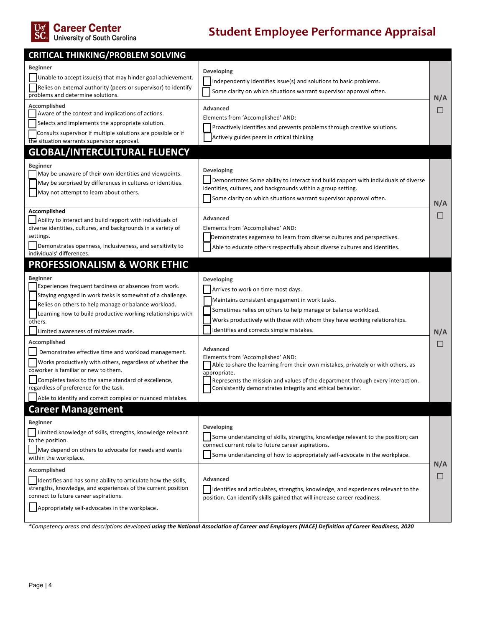

# Uof Career Center<br>SC. University of South Carolina

# **Student Employee Performance Appraisal**

| <b>CRITICAL THINKING/PROBLEM SOLVING</b>                                                                                                                                                                                                                                                                                                                                                                                                                                                                                                                                                     |                                                                                                                                                                                                                                                                                                                                                                                                                                                                                                                                                                                                   |                       |
|----------------------------------------------------------------------------------------------------------------------------------------------------------------------------------------------------------------------------------------------------------------------------------------------------------------------------------------------------------------------------------------------------------------------------------------------------------------------------------------------------------------------------------------------------------------------------------------------|---------------------------------------------------------------------------------------------------------------------------------------------------------------------------------------------------------------------------------------------------------------------------------------------------------------------------------------------------------------------------------------------------------------------------------------------------------------------------------------------------------------------------------------------------------------------------------------------------|-----------------------|
| Beginner<br>Unable to accept issue(s) that may hinder goal achievement.<br>Relies on external authority (peers or supervisor) to identify<br>problems and determine solutions.                                                                                                                                                                                                                                                                                                                                                                                                               | <b>Developing</b><br>Independently identifies issue(s) and solutions to basic problems.<br>Some clarity on which situations warrant supervisor approval often.                                                                                                                                                                                                                                                                                                                                                                                                                                    |                       |
| Accomplished<br>Aware of the context and implications of actions.<br>Selects and implements the appropriate solution.<br>Consults supervisor if multiple solutions are possible or if<br>the situation warrants supervisor approval.                                                                                                                                                                                                                                                                                                                                                         | Advanced<br>Elements from 'Accomplished' AND:<br>Proactively identifies and prevents problems through creative solutions.<br>Actively guides peers in critical thinking                                                                                                                                                                                                                                                                                                                                                                                                                           | N/A<br>⊔              |
| GLOBAL/INTERCULTURAL FLUENCY                                                                                                                                                                                                                                                                                                                                                                                                                                                                                                                                                                 |                                                                                                                                                                                                                                                                                                                                                                                                                                                                                                                                                                                                   |                       |
| <b>Beginner</b><br>May be unaware of their own identities and viewpoints.<br>May be surprised by differences in cultures or identities.<br>May not attempt to learn about others.                                                                                                                                                                                                                                                                                                                                                                                                            | Developing<br>Demonstrates Some ability to interact and build rapport with individuals of diverse<br>identities, cultures, and backgrounds within a group setting.<br>Some clarity on which situations warrant supervisor approval often.                                                                                                                                                                                                                                                                                                                                                         |                       |
| Accomplished<br>Ability to interact and build rapport with individuals of<br>diverse identities, cultures, and backgrounds in a variety of<br>settings.<br>Demonstrates openness, inclusiveness, and sensitivity to<br>individuals' differences.                                                                                                                                                                                                                                                                                                                                             | Advanced<br>Elements from 'Accomplished' AND:<br>Demonstrates eagerness to learn from diverse cultures and perspectives.<br>Able to educate others respectfully about diverse cultures and identities.                                                                                                                                                                                                                                                                                                                                                                                            | N/A<br>ш              |
| <b>PROFESSIONALISM &amp; WORK ETHIC</b>                                                                                                                                                                                                                                                                                                                                                                                                                                                                                                                                                      |                                                                                                                                                                                                                                                                                                                                                                                                                                                                                                                                                                                                   |                       |
| <b>Beginner</b><br>Experiences frequent tardiness or absences from work.<br>Staying engaged in work tasks is somewhat of a challenge.<br>Relies on others to help manage or balance workload.<br>Learning how to build productive working relationships with<br>others.<br>Limited awareness of mistakes made.<br>Accomplished<br>Demonstrates effective time and workload management.<br>Works productively with others, regardless of whether the<br>coworker is familiar or new to them.<br>Completes tasks to the same standard of excellence,<br>regardless of preference for the task. | Developing<br>Arrives to work on time most days.<br>Maintains consistent engagement in work tasks.<br>Sometimes relies on others to help manage or balance workload.<br>Works productively with those with whom they have working relationships.<br>Identifies and corrects simple mistakes.<br>Advanced<br>Elements from 'Accomplished' AND:<br>Able to share the learning from their own mistakes, privately or with others, as<br>appropriate.<br>Represents the mission and values of the department through every interaction.<br>Conisistently demonstrates integrity and ethical behavior. | N/A<br>$\blacksquare$ |
| Able to identify and correct complex or nuanced mistakes.                                                                                                                                                                                                                                                                                                                                                                                                                                                                                                                                    |                                                                                                                                                                                                                                                                                                                                                                                                                                                                                                                                                                                                   |                       |
| <b>Career Management</b><br><b>Beginner</b><br>  Limited knowledge of skills, strengths, knowledge relevant<br>to the position.<br>$\Box$ May depend on others to advocate for needs and wants<br>within the workplace.                                                                                                                                                                                                                                                                                                                                                                      | Developing<br>Some understanding of skills, strengths, knowledge relevant to the position; can<br>connect current role to future career aspirations.<br>Some understanding of how to appropriately self-advocate in the workplace.                                                                                                                                                                                                                                                                                                                                                                |                       |
| Accomplished<br>Identifies and has some ability to articulate how the skills,<br>strengths, knowledge, and experiences of the current position<br>connect to future career aspirations.<br>Appropriately self-advocates in the workplace.                                                                                                                                                                                                                                                                                                                                                    | <b>Advanced</b><br>Identifies and articulates, strengths, knowledge, and experiences relevant to the<br>position. Can identify skills gained that will increase career readiness.                                                                                                                                                                                                                                                                                                                                                                                                                 | N/A<br>⊔              |
|                                                                                                                                                                                                                                                                                                                                                                                                                                                                                                                                                                                              | *Competency areas and descriptions developed using the National Association of Career and Employers (NACE) Definition of Career Readiness, 2020                                                                                                                                                                                                                                                                                                                                                                                                                                                   |                       |